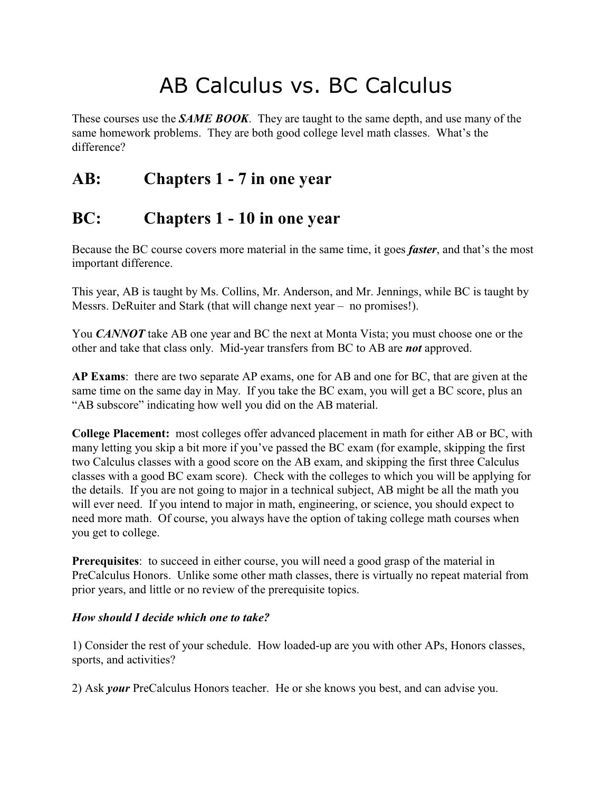# AB Calculus vs. BC Calculus

These courses use the *SAME BOOK*. They are taught to the same depth, and use many of the same homework problems. They are both good college level math classes. What's the difference?

## **AB: Chapters 1 - 7 in one year**

## **BC: Chapters 1 - 10 in one year**

Because the BC course covers more material in the same time, it goes *faster*, and that's the most important difference.

This year, AB is taught by Ms. Collins, Mr. Anderson, and Mr. Jennings, while BC is taught by Messrs. DeRuiter and Stark (that will change next year – no promises!).

You *CANNOT* take AB one year and BC the next at Monta Vista; you must choose one or the other and take that class only. Mid-year transfers from BC to AB are *not* approved.

**AP Exams**: there are two separate AP exams, one for AB and one for BC, that are given at the same time on the same day in May. If you take the BC exam, you will get a BC score, plus an "AB subscore" indicating how well you did on the AB material.

**College Placement:** most colleges offer advanced placement in math for either AB or BC, with many letting you skip a bit more if you've passed the BC exam (for example, skipping the first two Calculus classes with a good score on the AB exam, and skipping the first three Calculus classes with a good BC exam score). Check with the colleges to which you will be applying for the details. If you are not going to major in a technical subject, AB might be all the math you will ever need. If you intend to major in math, engineering, or science, you should expect to need more math. Of course, you always have the option of taking college math courses when you get to college.

**Prerequisites**: to succeed in either course, you will need a good grasp of the material in PreCalculus Honors. Unlike some other math classes, there is virtually no repeat material from prior years, and little or no review of the prerequisite topics.

#### *How should I decide which one to take?*

1) Consider the rest of your schedule. How loaded-up are you with other APs, Honors classes, sports, and activities?

2) Ask *your* PreCalculus Honors teacher. He or she knows you best, and can advise you.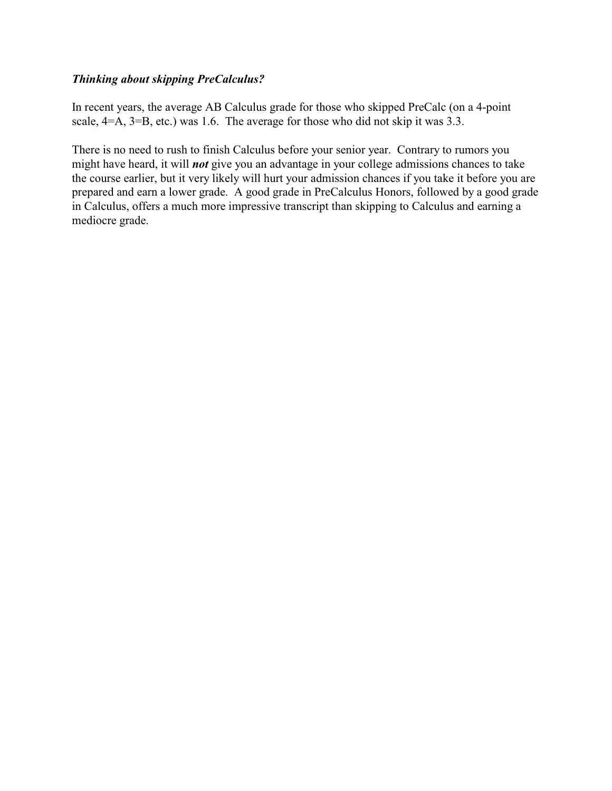#### *Thinking about skipping PreCalculus?*

In recent years, the average AB Calculus grade for those who skipped PreCalc (on a 4-point scale, 4=A, 3=B, etc.) was 1.6. The average for those who did not skip it was 3.3.

There is no need to rush to finish Calculus before your senior year. Contrary to rumors you might have heard, it will *not* give you an advantage in your college admissions chances to take the course earlier, but it very likely will hurt your admission chances if you take it before you are prepared and earn a lower grade. A good grade in PreCalculus Honors, followed by a good grade in Calculus, offers a much more impressive transcript than skipping to Calculus and earning a mediocre grade.